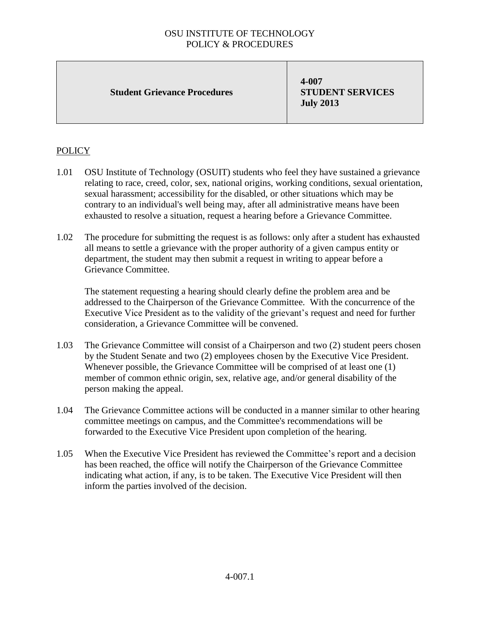## OSU INSTITUTE OF TECHNOLOGY POLICY & PROCEDURES

#### **Student Grievance Procedures**

**4-007 STUDENT SERVICES July 2013**

## **POLICY**

- 1.01 OSU Institute of Technology (OSUIT) students who feel they have sustained a grievance relating to race, creed, color, sex, national origins, working conditions, sexual orientation, sexual harassment; accessibility for the disabled, or other situations which may be contrary to an individual's well being may, after all administrative means have been exhausted to resolve a situation, request a hearing before a Grievance Committee.
- 1.02 The procedure for submitting the request is as follows: only after a student has exhausted all means to settle a grievance with the proper authority of a given campus entity or department, the student may then submit a request in writing to appear before a Grievance Committee.

The statement requesting a hearing should clearly define the problem area and be addressed to the Chairperson of the Grievance Committee. With the concurrence of the Executive Vice President as to the validity of the grievant's request and need for further consideration, a Grievance Committee will be convened.

- 1.03 The Grievance Committee will consist of a Chairperson and two (2) student peers chosen by the Student Senate and two (2) employees chosen by the Executive Vice President. Whenever possible, the Grievance Committee will be comprised of at least one (1) member of common ethnic origin, sex, relative age, and/or general disability of the person making the appeal.
- 1.04 The Grievance Committee actions will be conducted in a manner similar to other hearing committee meetings on campus, and the Committee's recommendations will be forwarded to the Executive Vice President upon completion of the hearing.
- 1.05 When the Executive Vice President has reviewed the Committee's report and a decision has been reached, the office will notify the Chairperson of the Grievance Committee indicating what action, if any, is to be taken. The Executive Vice President will then inform the parties involved of the decision.